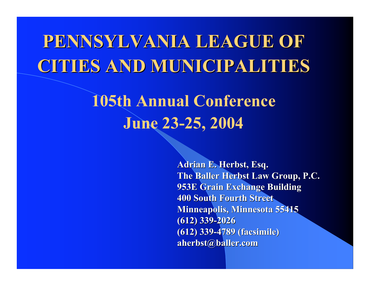# PENNSYLVANIA LEAGUE OF PENNSYLVANIA LEAGUE OF CITIES AND MUNICIPALITIES

### 105th Annual Conference June 23-25, 2004

Adrian E. Herbst, Esq. The Baller Herbst Law Group, P.C. 953E Grain Exchange Building 953E Grain Exchange Building 400 South Fourth Street 400 South Fourth Street Minneapolis, Minnesota 55415 (612) 339-2026 (612) 339-2026 (612) 339-4789 (facsimile) (612) 339-4789 (facsimile) aherbst@baller.com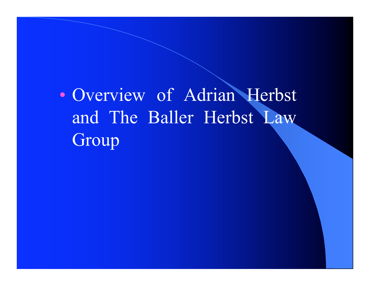• Overview of Adrian Herbst and The Baller Herbst Law Group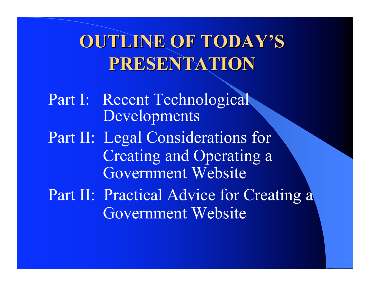# OUTLINE OF TODAY'S PRESENTATION PRESENTATION

Part I: Recent Technological Developments Part II: Legal Considerations for Creating and Operating a Government Website Part II: Practical Advice for Creating a Government Website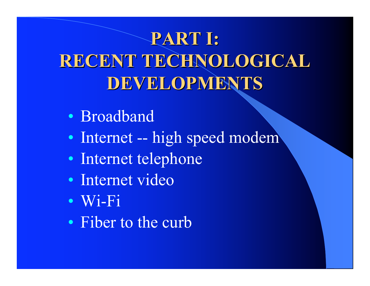# PART I: RECENT TECHNOLOGICAL DEVELOPMENTS

- Broadband
- Internet -- high speed modem
- Internet telephone
- Internet video
- Wi-Fi
- Fiber to the curb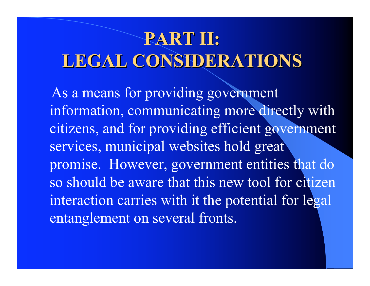# PART II: LEGAL CONSIDERATIONS

 As a means for providing government information, communicating more directly with citizens, and for providing efficient government services, municipal websites hold great promise. However, government entities that do so should be aware that this new tool for citizen interaction carries with it the potential for legal entanglement on several fronts.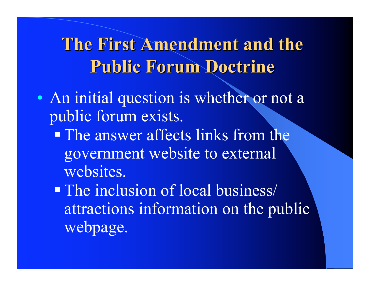### The First Amendment and the Public Forum Doctrine

- An initial question is whether or not a public forum exists.
	- The answer affects links from the government website to external websites.
	- **The inclusion of local business/** attractions information on the public webpage.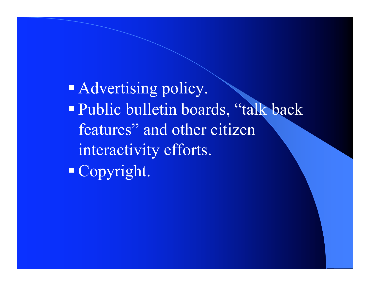**Advertising policy.** Public bulletin boards, "talk back features" and other citizen interactivity efforts. Copyright.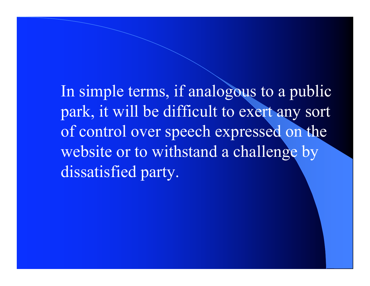In simple terms, if analogous to a public park, it will be difficult to exert any sort of control over speech expressed on the website or to withstand a challenge by dissatisfied party.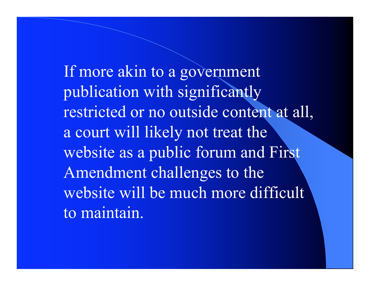If more akin to a government publication with significantly restricted or no outside content at all, a court will likely not treat the website as a public forum and First Amendment challenges to the website will be much more difficult to maintain.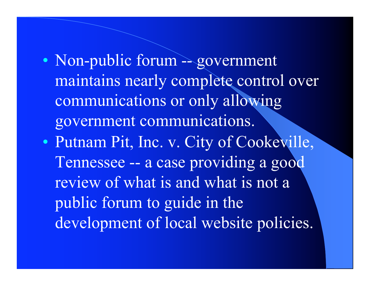- Non-public forum -- government maintains nearly complete control over communications or only allowing government communications.
- Putnam Pit, Inc. v. City of Cookeville, Tennessee -- a case providing a good review of what is and what is not a public forum to guide in the development of local website policies.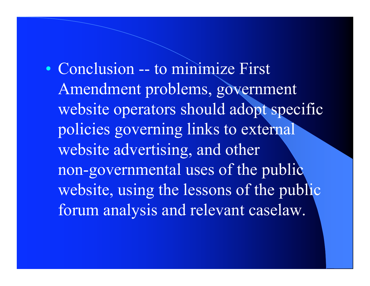• Conclusion -- to minimize First Amendment problems, government website operators should adopt specific policies governing links to external website advertising, and other non-governmental uses of the public website, using the lessons of the public forum analysis and relevant caselaw.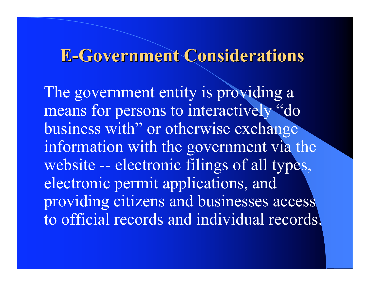#### **E-Government Considerations**

The government entity is providing a means for persons to interactively "do business with" or otherwise exchange information with the government via the website -- electronic filings of all types, electronic permit applications, and providing citizens and businesses access to official records and individual records.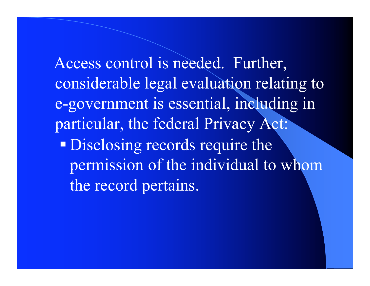Access control is needed. Further, considerable legal evaluation relating to e-government is essential, including in particular, the federal Privacy Act: **Disclosing records require the** permission of the individual to whom the record pertains.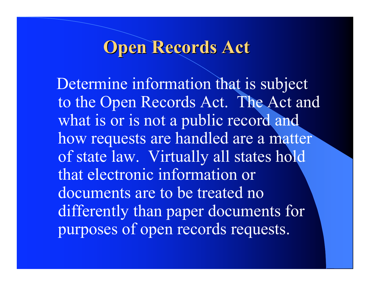#### **Open Records Act**

 Determine information that is subject to the Open Records Act. The Act and what is or is not a public record and how requests are handled are a matter of state law. Virtually all states hold that electronic information or documents are to be treated no differently than paper documents for purposes of open records requests.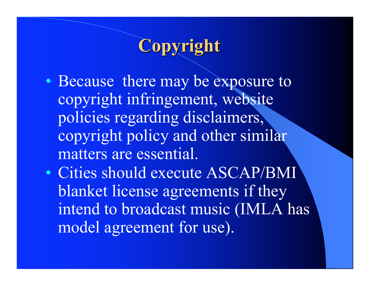### Copyright

- Because there may be exposure to copyright infringement, website policies regarding disclaimers, copyright policy and other similar matters are essential.
- Cities should execute ASCAP/BMI blanket license agreements if they intend to broadcast music (IMLA has model agreement for use).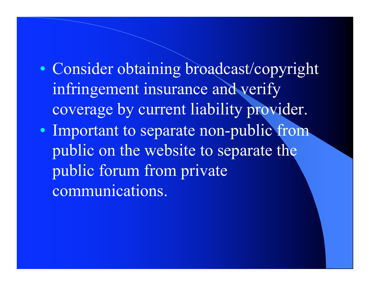- Consider obtaining broadcast/copyright infringement insurance and verify coverage by current liability provider.
- Important to separate non-public from public on the website to separate the public forum from private communications.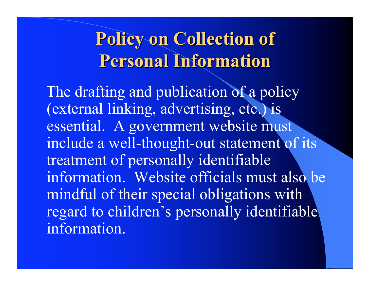### Policy on Collection of Policy on Collection of **Personal Information**

The drafting and publication of a policy (external linking, advertising, etc.) is essential. A government website must include a well-thought-out statement of its treatment of personally identifiable information. Website officials must also be mindful of their special obligations with regard to children's personally identifiable information.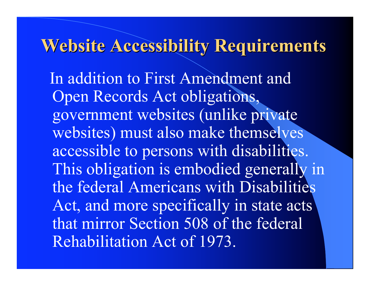#### Website Accessibility Requirements

 In addition to First Amendment and Open Records Act obligations, government websites (unlike private websites) must also make themselves accessible to persons with disabilities. This obligation is embodied generally in the federal Americans with Disabilities Act, and more specifically in state acts that mirror Section 508 of the federal Rehabilitation Act of 1973.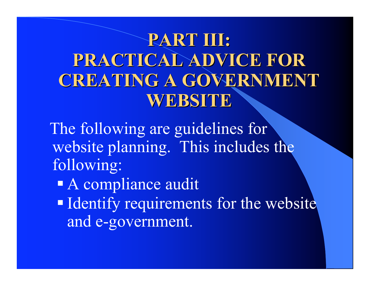### PART III: PRACTICAL ADVICE FOR CREATING A GOVERNMENT WEBSITE

 The following are guidelines for website planning. This includes the following:

- A compliance audit
- Identify requirements for the website and e-government.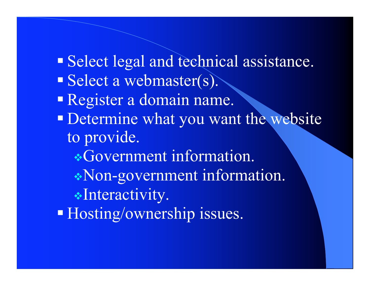Select legal and technical assistance. Select a webmaster(s). Register a domain name. **Determine what you want the website** to provide. **\*Government information.** Non-government information. \*Interactivity. Hosting/ownership issues.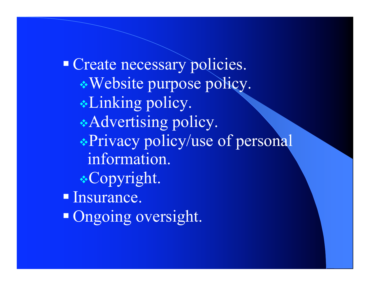Create necessary policies. Website purpose policy. Linking policy. Advertising policy. Privacy policy/use of personal information. Copyright. **Insurance.** • Ongoing oversight.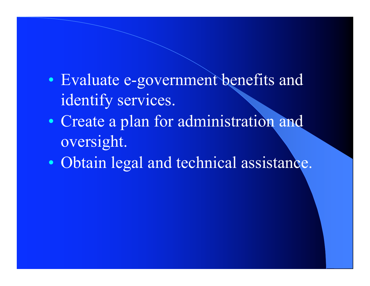- Evaluate e-government benefits and identify services.
- Create a plan for administration and oversight.
- Obtain legal and technical assistance.